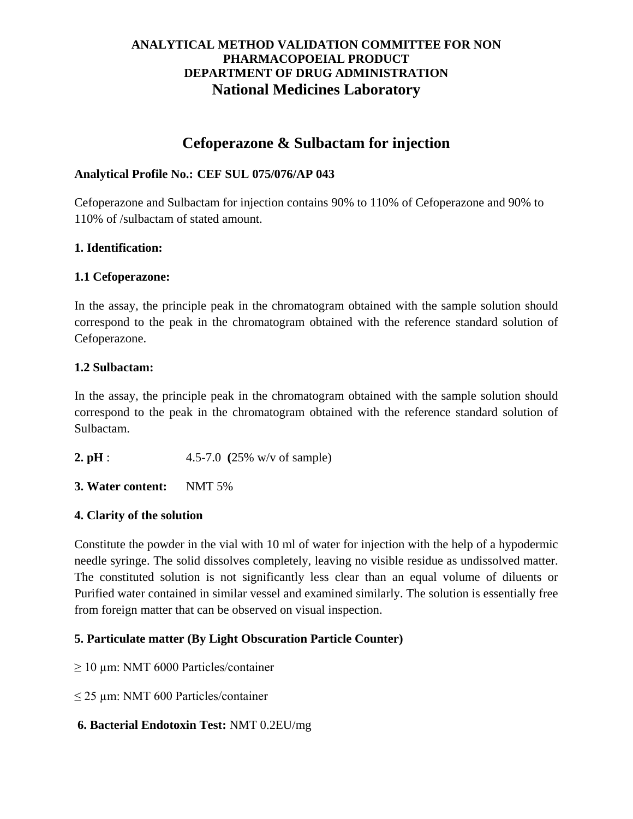## **ANALYTICAL METHOD VALIDATION COMMITTEE FOR NON PHARMACOPOEIAL PRODUCT DEPARTMENT OF DRUG ADMINISTRATION National Medicines Laboratory**

# **Cefoperazone & Sulbactam for injection**

## **Analytical Profile No.: CEF SUL 075/076/AP 043**

Cefoperazone and Sulbactam for injection contains 90% to 110% of Cefoperazone and 90% to 110% of /sulbactam of stated amount.

## **1. Identification:**

## **1.1 Cefoperazone:**

In the assay, the principle peak in the chromatogram obtained with the sample solution should correspond to the peak in the chromatogram obtained with the reference standard solution of Cefoperazone.

## **1.2 Sulbactam:**

In the assay, the principle peak in the chromatogram obtained with the sample solution should correspond to the peak in the chromatogram obtained with the reference standard solution of Sulbactam.

- **2. pH** : 4.5-7.0 **(**25% w/v of sample)
- **3. Water content:** NMT 5%

# **4. Clarity of the solution**

Constitute the powder in the vial with 10 ml of water for injection with the help of a hypodermic needle syringe. The solid dissolves completely, leaving no visible residue as undissolved matter. The constituted solution is not significantly less clear than an equal volume of diluents or Purified water contained in similar vessel and examined similarly. The solution is essentially free from foreign matter that can be observed on visual inspection.

### **5. Particulate matter (By Light Obscuration Particle Counter)**

- $\geq$  10 µm: NMT 6000 Particles/container
- ≤ 25 µm: NMT 600 Particles/container
- **6. Bacterial Endotoxin Test:** NMT 0.2EU/mg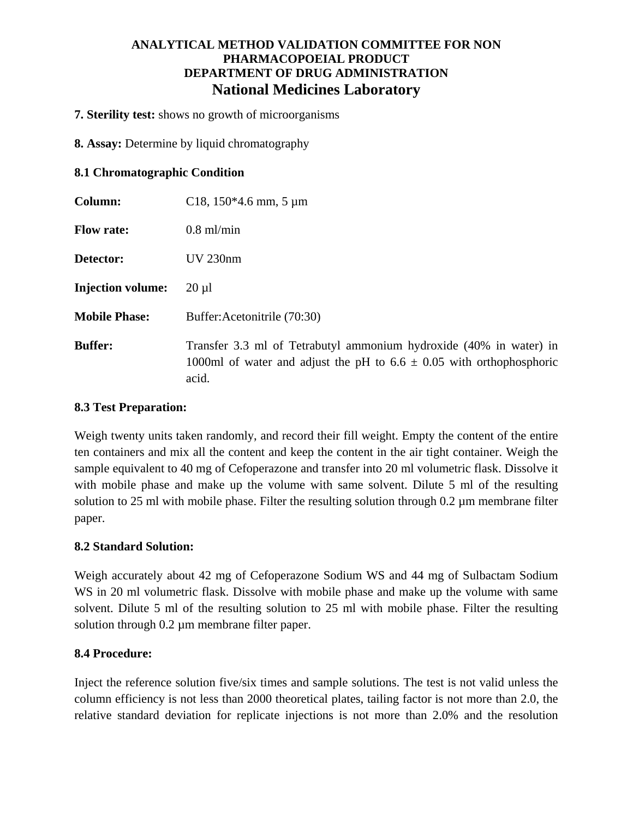## **ANALYTICAL METHOD VALIDATION COMMITTEE FOR NON PHARMACOPOEIAL PRODUCT DEPARTMENT OF DRUG ADMINISTRATION National Medicines Laboratory**

**7. Sterility test:** shows no growth of microorganisms

**8. Assay:** Determine by liquid chromatography

#### **8.1 Chromatographic Condition**

| Column:                  | C <sub>18</sub> , $150*4.6$ mm, $5 \mu m$                                                                                                               |
|--------------------------|---------------------------------------------------------------------------------------------------------------------------------------------------------|
| <b>Flow rate:</b>        | $0.8$ ml/min                                                                                                                                            |
| Detector:                | <b>UV 230nm</b>                                                                                                                                         |
| <b>Injection volume:</b> | $20 \mu l$                                                                                                                                              |
| <b>Mobile Phase:</b>     | Buffer: Acetonitrile (70:30)                                                                                                                            |
| <b>Buffer:</b>           | Transfer 3.3 ml of Tetrabutyl ammonium hydroxide (40% in water) in<br>1000ml of water and adjust the pH to $6.6 \pm 0.05$ with orthophosphoric<br>acid. |

#### **8.3 Test Preparation:**

Weigh twenty units taken randomly, and record their fill weight. Empty the content of the entire ten containers and mix all the content and keep the content in the air tight container. Weigh the sample equivalent to 40 mg of Cefoperazone and transfer into 20 ml volumetric flask. Dissolve it with mobile phase and make up the volume with same solvent. Dilute 5 ml of the resulting solution to 25 ml with mobile phase. Filter the resulting solution through 0.2 µm membrane filter paper.

### **8.2 Standard Solution:**

Weigh accurately about 42 mg of Cefoperazone Sodium WS and 44 mg of Sulbactam Sodium WS in 20 ml volumetric flask. Dissolve with mobile phase and make up the volume with same solvent. Dilute 5 ml of the resulting solution to 25 ml with mobile phase. Filter the resulting solution through 0.2 µm membrane filter paper.

### **8.4 Procedure:**

Inject the reference solution five/six times and sample solutions. The test is not valid unless the column efficiency is not less than 2000 theoretical plates, tailing factor is not more than 2.0, the relative standard deviation for replicate injections is not more than 2.0% and the resolution